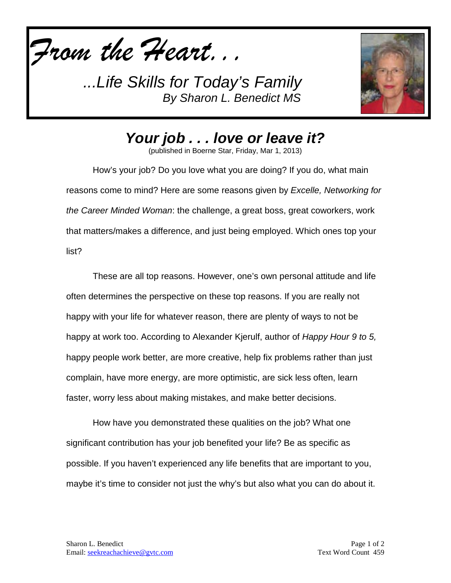



*Your job . . . love or leave it?*

(published in Boerne Star, Friday, Mar 1, 2013)

How's your job? Do you love what you are doing? If you do, what main reasons come to mind? Here are some reasons given by *Excelle, Networking for the Career Minded Woman*: the challenge, a great boss, great coworkers, work that matters/makes a difference, and just being employed. Which ones top your list?

These are all top reasons. However, one's own personal attitude and life often determines the perspective on these top reasons. If you are really not happy with your life for whatever reason, there are plenty of ways to not be happy at work too. According to Alexander Kjerulf, author of *Happy Hour 9 to 5,*  happy people work better, are more creative, help fix problems rather than just complain, have more energy, are more optimistic, are sick less often, learn faster, worry less about making mistakes, and make better decisions.

How have you demonstrated these qualities on the job? What one significant contribution has your job benefited your life? Be as specific as possible. If you haven't experienced any life benefits that are important to you, maybe it's time to consider not just the why's but also what you can do about it.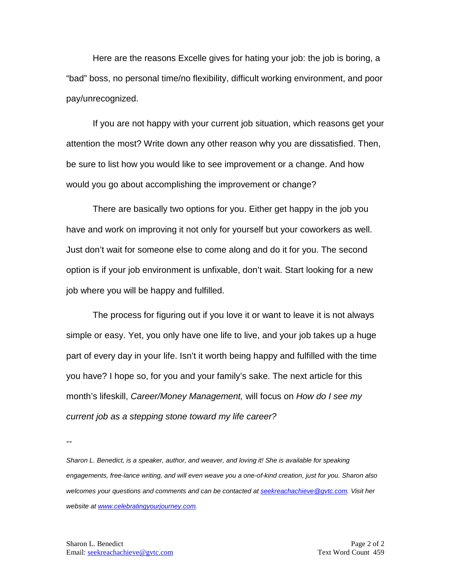Here are the reasons Excelle gives for hating your job: the job is boring, a "bad" boss, no personal time/no flexibility, difficult working environment, and poor pay/unrecognized.

If you are not happy with your current job situation, which reasons get your attention the most? Write down any other reason why you are dissatisfied. Then, be sure to list how you would like to see improvement or a change. And how would you go about accomplishing the improvement or change?

There are basically two options for you. Either get happy in the job you have and work on improving it not only for yourself but your coworkers as well. Just don't wait for someone else to come along and do it for you. The second option is if your job environment is unfixable, don't wait. Start looking for a new job where you will be happy and fulfilled.

The process for figuring out if you love it or want to leave it is not always simple or easy. Yet, you only have one life to live, and your job takes up a huge part of every day in your life. Isn't it worth being happy and fulfilled with the time you have? I hope so, for you and your family's sake. The next article for this month's lifeskill, *Career/Money Management,* will focus on *How do I see my current job as a stepping stone toward my life career?*

--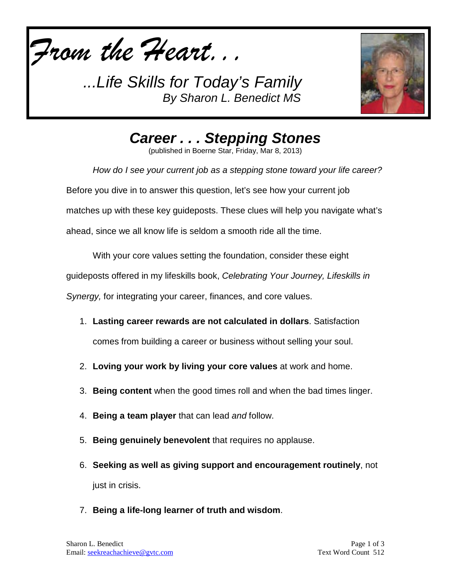



*Career . . . Stepping Stones*

(published in Boerne Star, Friday, Mar 8, 2013)

*How do I see your current job as a stepping stone toward your life career?* Before you dive in to answer this question, let's see how your current job matches up with these key guideposts. These clues will help you navigate what's ahead, since we all know life is seldom a smooth ride all the time.

With your core values setting the foundation, consider these eight

guideposts offered in my lifeskills book, *Celebrating Your Journey, Lifeskills in* 

*Synergy,* for integrating your career, finances, and core values.

1. **Lasting career rewards are not calculated in dollars**. Satisfaction

comes from building a career or business without selling your soul.

- 2. **Loving your work by living your core values** at work and home.
- 3. **Being content** when the good times roll and when the bad times linger.
- 4. **Being a team player** that can lead *and* follow.
- 5. **Being genuinely benevolent** that requires no applause.
- 6. **Seeking as well as giving support and encouragement routinely**, not just in crisis.
- 7. **Being a life-long learner of truth and wisdom**.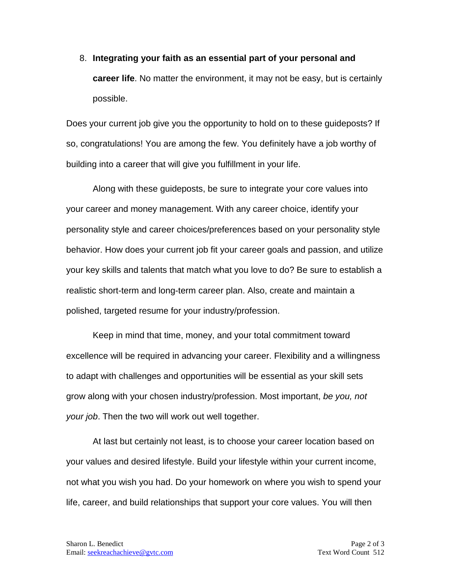8. **Integrating your faith as an essential part of your personal and career life**. No matter the environment, it may not be easy, but is certainly possible.

Does your current job give you the opportunity to hold on to these guideposts? If so, congratulations! You are among the few. You definitely have a job worthy of building into a career that will give you fulfillment in your life.

Along with these guideposts, be sure to integrate your core values into your career and money management. With any career choice, identify your personality style and career choices/preferences based on your personality style behavior. How does your current job fit your career goals and passion, and utilize your key skills and talents that match what you love to do? Be sure to establish a realistic short-term and long-term career plan. Also, create and maintain a polished, targeted resume for your industry/profession.

Keep in mind that time, money, and your total commitment toward excellence will be required in advancing your career. Flexibility and a willingness to adapt with challenges and opportunities will be essential as your skill sets grow along with your chosen industry/profession. Most important, *be you, not your job*. Then the two will work out well together.

At last but certainly not least, is to choose your career location based on your values and desired lifestyle. Build your lifestyle within your current income, not what you wish you had. Do your homework on where you wish to spend your life, career, and build relationships that support your core values. You will then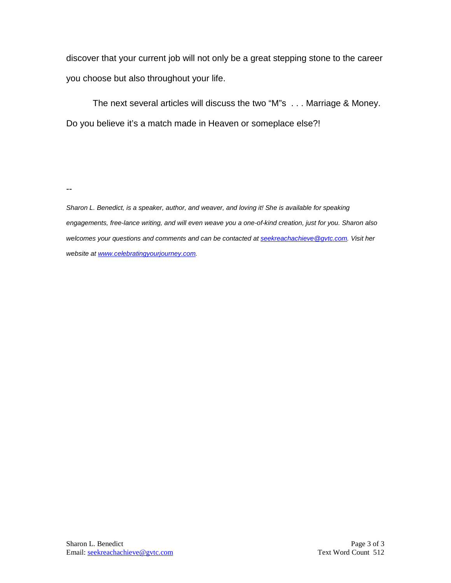discover that your current job will not only be a great stepping stone to the career you choose but also throughout your life.

The next several articles will discuss the two "M"s . . . Marriage & Money. Do you believe it's a match made in Heaven or someplace else?!

--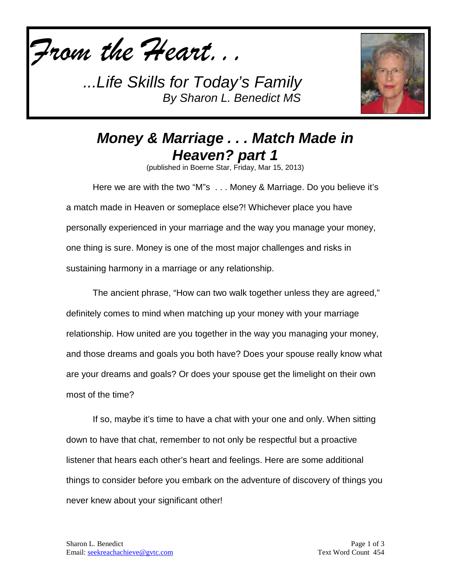



## *Money & Marriage . . . Match Made in Heaven? part 1*

(published in Boerne Star, Friday, Mar 15, 2013)

Here we are with the two "M"s . . . Money & Marriage. Do you believe it's a match made in Heaven or someplace else?! Whichever place you have personally experienced in your marriage and the way you manage your money, one thing is sure. Money is one of the most major challenges and risks in sustaining harmony in a marriage or any relationship.

The ancient phrase, "How can two walk together unless they are agreed," definitely comes to mind when matching up your money with your marriage relationship. How united are you together in the way you managing your money, and those dreams and goals you both have? Does your spouse really know what are your dreams and goals? Or does your spouse get the limelight on their own most of the time?

If so, maybe it's time to have a chat with your one and only. When sitting down to have that chat, remember to not only be respectful but a proactive listener that hears each other's heart and feelings. Here are some additional things to consider before you embark on the adventure of discovery of things you never knew about your significant other!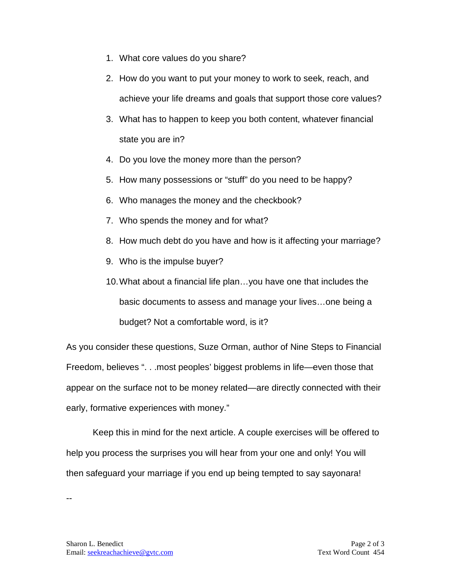- 1. What core values do you share?
- 2. How do you want to put your money to work to seek, reach, and achieve your life dreams and goals that support those core values?
- 3. What has to happen to keep you both content, whatever financial state you are in?
- 4. Do you love the money more than the person?
- 5. How many possessions or "stuff" do you need to be happy?
- 6. Who manages the money and the checkbook?
- 7. Who spends the money and for what?
- 8. How much debt do you have and how is it affecting your marriage?
- 9. Who is the impulse buyer?
- 10.What about a financial life plan…you have one that includes the basic documents to assess and manage your lives…one being a budget? Not a comfortable word, is it?

As you consider these questions, Suze Orman, author of Nine Steps to Financial Freedom, believes ". . .most peoples' biggest problems in life—even those that appear on the surface not to be money related—are directly connected with their early, formative experiences with money."

Keep this in mind for the next article. A couple exercises will be offered to help you process the surprises you will hear from your one and only! You will then safeguard your marriage if you end up being tempted to say sayonara!

--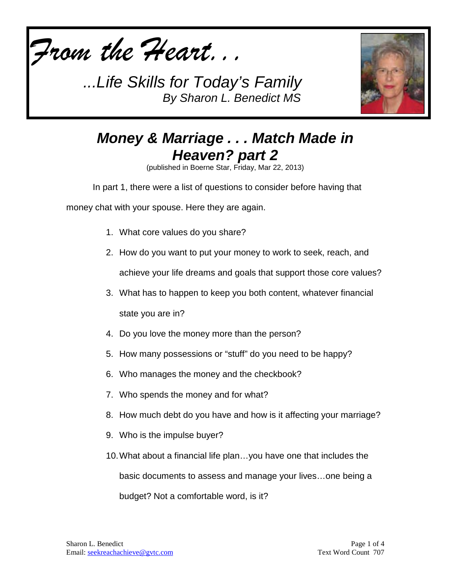



## *Money & Marriage . . . Match Made in Heaven? part 2*

(published in Boerne Star, Friday, Mar 22, 2013)

In part 1, there were a list of questions to consider before having that

money chat with your spouse. Here they are again.

- 1. What core values do you share?
- 2. How do you want to put your money to work to seek, reach, and achieve your life dreams and goals that support those core values?
- 3. What has to happen to keep you both content, whatever financial state you are in?
- 4. Do you love the money more than the person?
- 5. How many possessions or "stuff" do you need to be happy?
- 6. Who manages the money and the checkbook?
- 7. Who spends the money and for what?
- 8. How much debt do you have and how is it affecting your marriage?
- 9. Who is the impulse buyer?
- 10.What about a financial life plan…you have one that includes the basic documents to assess and manage your lives…one being a budget? Not a comfortable word, is it?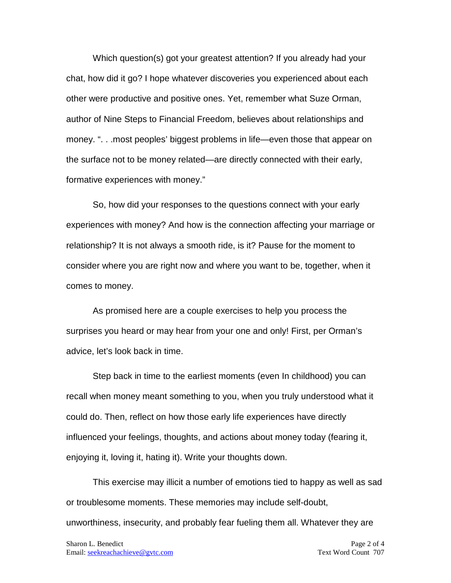Which question(s) got your greatest attention? If you already had your chat, how did it go? I hope whatever discoveries you experienced about each other were productive and positive ones. Yet, remember what Suze Orman, author of Nine Steps to Financial Freedom, believes about relationships and money. ". . .most peoples' biggest problems in life—even those that appear on the surface not to be money related—are directly connected with their early, formative experiences with money."

So, how did your responses to the questions connect with your early experiences with money? And how is the connection affecting your marriage or relationship? It is not always a smooth ride, is it? Pause for the moment to consider where you are right now and where you want to be, together, when it comes to money.

As promised here are a couple exercises to help you process the surprises you heard or may hear from your one and only! First, per Orman's advice, let's look back in time.

Step back in time to the earliest moments (even In childhood) you can recall when money meant something to you, when you truly understood what it could do. Then, reflect on how those early life experiences have directly influenced your feelings, thoughts, and actions about money today (fearing it, enjoying it, loving it, hating it). Write your thoughts down.

This exercise may illicit a number of emotions tied to happy as well as sad or troublesome moments. These memories may include self-doubt, unworthiness, insecurity, and probably fear fueling them all. Whatever they are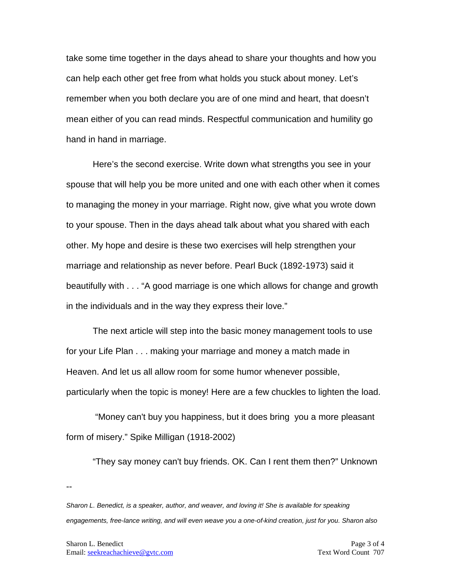take some time together in the days ahead to share your thoughts and how you can help each other get free from what holds you stuck about money. Let's remember when you both declare you are of one mind and heart, that doesn't mean either of you can read minds. Respectful communication and humility go hand in hand in marriage.

Here's the second exercise. Write down what strengths you see in your spouse that will help you be more united and one with each other when it comes to managing the money in your marriage. Right now, give what you wrote down to your spouse. Then in the days ahead talk about what you shared with each other. My hope and desire is these two exercises will help strengthen your marriage and relationship as never before. Pearl Buck (1892-1973) said it beautifully with . . . "A good marriage is one which allows for change and growth in the individuals and in the way they express their love."

The next article will step into the basic money management tools to use for your Life Plan . . . making your marriage and money a match made in Heaven. And let us all allow room for some humor whenever possible, particularly when the topic is money! Here are a few chuckles to lighten the load.

"Money can't buy you happiness, but it does bring you a more pleasant form of misery." Spike Milligan (1918-2002)

"They say money can't buy friends. OK. Can I rent them then?" Unknown

--

*Sharon L. Benedict, is a speaker, author, and weaver, and loving it! She is available for speaking engagements, free-lance writing, and will even weave you a one-of-kind creation, just for you. Sharon also*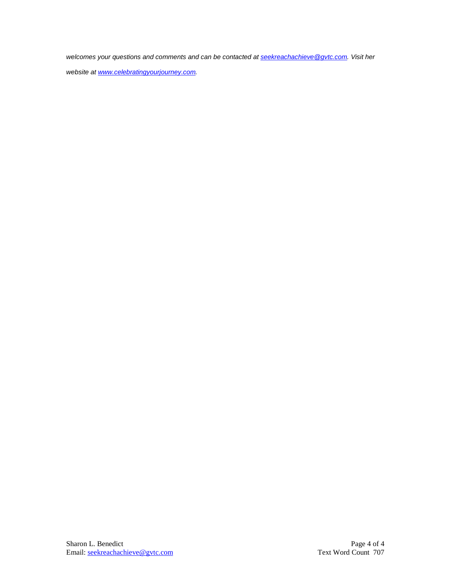*welcomes your questions and comments and can be contacted a[t seekreachachieve@gvtc.com.](mailto:seekreachachieve@gvtc.com) Visit her* 

*website at [www.celebratingyourjourney.com.](http://www.celebratingyourjourney.com/)*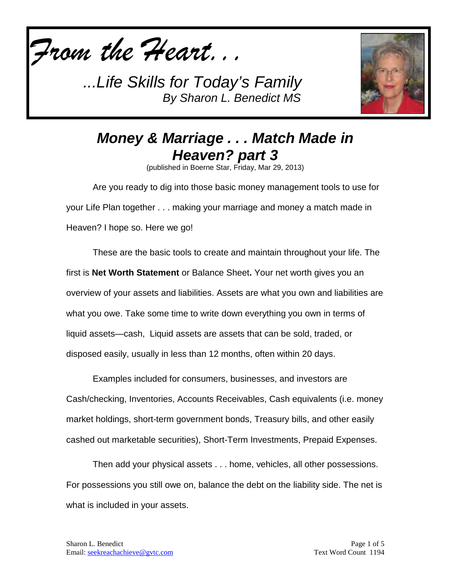



## *Money & Marriage . . . Match Made in Heaven? part 3*

(published in Boerne Star, Friday, Mar 29, 2013)

Are you ready to dig into those basic money management tools to use for your Life Plan together . . . making your marriage and money a match made in Heaven? I hope so. Here we go!

These are the basic tools to create and maintain throughout your life. The first is **Net Worth Statement** or Balance Sheet**.** Your net worth gives you an overview of your assets and liabilities. Assets are what you own and liabilities are what you owe. Take some time to write down everything you own in terms of liquid assets—cash, Liquid assets are assets that can be sold, traded, or disposed easily, usually in less than 12 months, often within 20 days.

Examples included for consumers, businesses, and investors are Cash/checking, Inventories, Accounts Receivables, Cash equivalents (i.e. money market holdings, short-term government bonds, Treasury bills, and other easily cashed out marketable securities), Short-Term Investments, Prepaid Expenses.

Then add your physical assets . . . home, vehicles, all other possessions. For possessions you still owe on, balance the debt on the liability side. The net is what is included in your assets.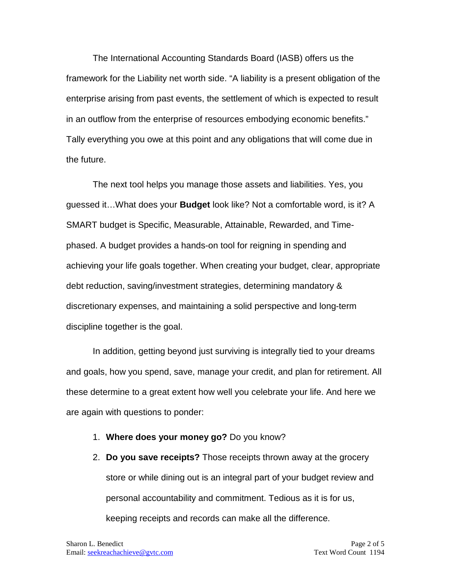The International Accounting Standards Board (IASB) offers us the framework for the Liability net worth side. "A liability is a present obligation of the enterprise arising from past events, the settlement of which is expected to result in an outflow from the enterprise of resources embodying economic benefits." Tally everything you owe at this point and any obligations that will come due in the future.

The next tool helps you manage those assets and liabilities. Yes, you guessed it…What does your **Budget** look like? Not a comfortable word, is it? A SMART budget is Specific, Measurable, Attainable, Rewarded, and Timephased. A budget provides a hands-on tool for reigning in spending and achieving your life goals together. When creating your budget, clear, appropriate debt reduction, saving/investment strategies, determining mandatory & discretionary expenses, and maintaining a solid perspective and long-term discipline together is the goal.

In addition, getting beyond just surviving is integrally tied to your dreams and goals, how you spend, save, manage your credit, and plan for retirement. All these determine to a great extent how well you celebrate your life. And here we are again with questions to ponder:

- 1. **Where does your money go?** Do you know?
- 2. **Do you save receipts?** Those receipts thrown away at the grocery store or while dining out is an integral part of your budget review and personal accountability and commitment. Tedious as it is for us, keeping receipts and records can make all the difference.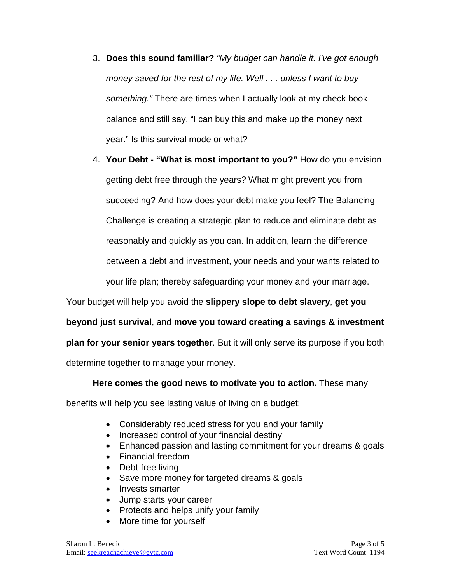- 3. **Does this sound familiar?** *"My budget can handle it. I've got enough money saved for the rest of my life. Well . . . unless I want to buy something."* There are times when I actually look at my check book balance and still say, "I can buy this and make up the money next year." Is this survival mode or what?
- 4. **Your Debt - "What is most important to you?"** How do you envision getting debt free through the years? What might prevent you from succeeding? And how does your debt make you feel? The Balancing Challenge is creating a strategic plan to reduce and eliminate debt as reasonably and quickly as you can. In addition, learn the difference between a debt and investment, your needs and your wants related to your life plan; thereby safeguarding your money and your marriage.

Your budget will help you avoid the **slippery slope to debt slavery**, **get you** 

**beyond just survival**, and **move you toward creating a savings & investment** 

**plan for your senior years together**. But it will only serve its purpose if you both

determine together to manage your money.

**Here comes the good news to motivate you to action.** These many

benefits will help you see lasting value of living on a budget:

- Considerably reduced stress for you and your family
- Increased control of your financial destiny
- Enhanced passion and lasting commitment for your dreams & goals
- Financial freedom
- Debt-free living
- Save more money for targeted dreams & goals
- Invests smarter
- Jump starts your career
- Protects and helps unify your family
- More time for yourself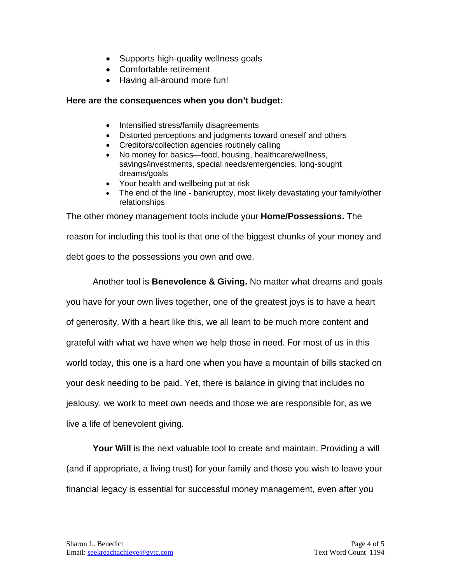- Supports high-quality wellness goals
- Comfortable retirement
- Having all-around more fun!

## **Here are the consequences when you don't budget:**

- Intensified stress/family disagreements
- Distorted perceptions and judgments toward oneself and others
- Creditors/collection agencies routinely calling
- No money for basics—food, housing, healthcare/wellness, savings/investments, special needs/emergencies, long-sought dreams/goals
- Your health and wellbeing put at risk
- The end of the line bankruptcy, most likely devastating your family/other relationships

The other money management tools include your **Home/Possessions.** The reason for including this tool is that one of the biggest chunks of your money and debt goes to the possessions you own and owe.

Another tool is **Benevolence & Giving.** No matter what dreams and goals you have for your own lives together, one of the greatest joys is to have a heart of generosity. With a heart like this, we all learn to be much more content and grateful with what we have when we help those in need. For most of us in this world today, this one is a hard one when you have a mountain of bills stacked on your desk needing to be paid. Yet, there is balance in giving that includes no jealousy, we work to meet own needs and those we are responsible for, as we live a life of benevolent giving.

**Your Will** is the next valuable tool to create and maintain. Providing a will (and if appropriate, a living trust) for your family and those you wish to leave your financial legacy is essential for successful money management, even after you